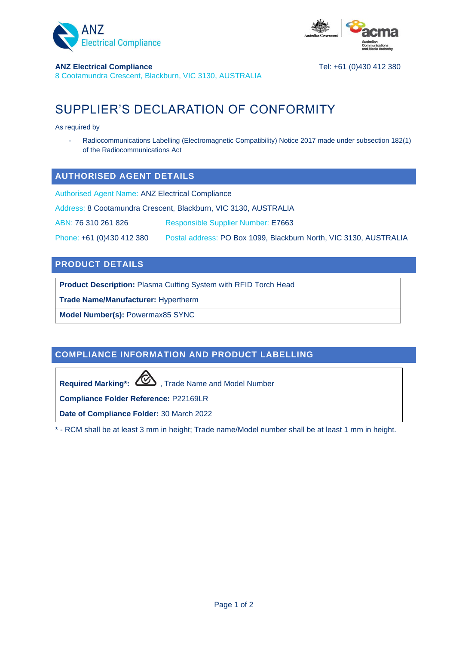



### **ANZ Electrical Compliance** Tel: +61 (0)430 412 380

8 Cootamundra Crescent, Blackburn, VIC 3130, AUSTRALIA

# SUPPLIER'S DECLARATION OF CONFORMITY

As required by

Radiocommunications Labelling (Electromagnetic Compatibility) Notice 2017 made under subsection 182(1) of the Radiocommunications Act

### **AUTHORISED AGENT DETAILS**

Authorised Agent Name: ANZ Electrical Compliance

Address: 8 Cootamundra Crescent, Blackburn, VIC 3130, AUSTRALIA

ABN: 76 310 261 826 Responsible Supplier Number: E7663

Phone: +61 (0)430 412 380 Postal address: PO Box 1099, Blackburn North, VIC 3130, AUSTRALIA

### **PRODUCT DETAILS**

**Product Description:** Plasma Cutting System with RFID Torch Head

**Trade Name/Manufacturer:** Hypertherm

**Model Number(s):** Powermax85 SYNC

### **COMPLIANCE INFORMATION AND PRODUCT LABELLING**

Required Marking\*: **WED**, Trade Name and Model Number

**Compliance Folder Reference:** P22169LR

**Date of Compliance Folder:** 30 March 2022

\* - RCM shall be at least 3 mm in height; Trade name/Model number shall be at least 1 mm in height.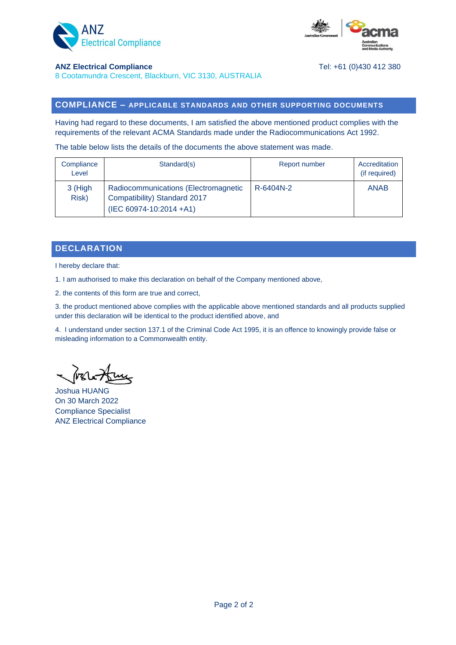



#### **ANZ Electrical Compliance** Tel: +61 (0)430 412 380

8 Cootamundra Crescent, Blackburn, VIC 3130, AUSTRALIA

### **COMPLIANCE – APPLICABLE STANDARDS AND OTHER SUPPORTING DOCUMENTS**

Having had regard to these documents, I am satisfied the above mentioned product complies with the requirements of the relevant ACMA Standards made under the Radiocommunications Act 1992.

The table below lists the details of the documents the above statement was made.

| Compliance<br>Level | Standard(s)                                                                                     | Report number | Accreditation<br>(if required) |
|---------------------|-------------------------------------------------------------------------------------------------|---------------|--------------------------------|
| 3 (High<br>Risk)    | Radiocommunications (Electromagnetic<br>Compatibility) Standard 2017<br>(IEC 60974-10:2014 +A1) | R-6404N-2     | <b>ANAB</b>                    |

### **DECLARATION**

I hereby declare that:

1. I am authorised to make this declaration on behalf of the Company mentioned above,

2. the contents of this form are true and correct,

3. the product mentioned above complies with the applicable above mentioned standards and all products supplied under this declaration will be identical to the product identified above, and

4. I understand under section 137.1 of the Criminal Code Act 1995, it is an offence to knowingly provide false or misleading information to a Commonwealth entity.

Joshua HUANG On 30 March 2022 Compliance Specialist ANZ Electrical Compliance